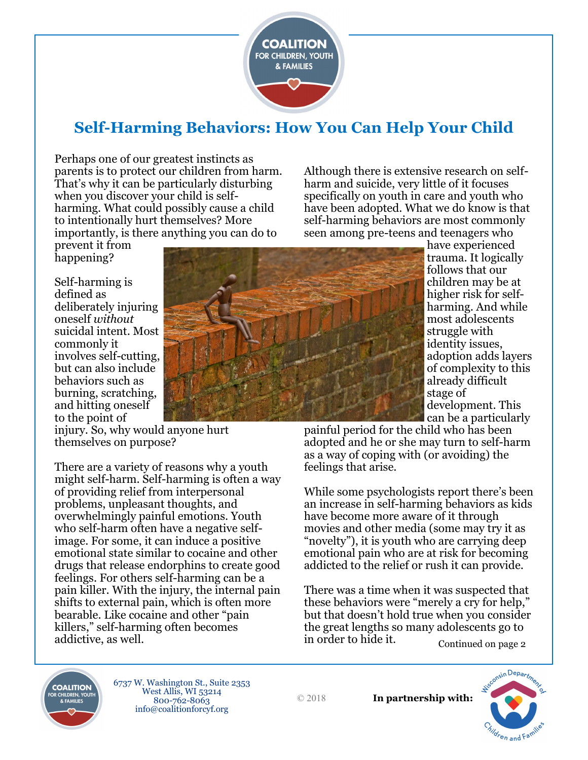

# **Self-Harming Behaviors: How You Can Help Your Child**

Perhaps one of our greatest instincts as parents is to protect our children from harm. That's why it can be particularly disturbing when you discover your child is selfharming. What could possibly cause a child to intentionally hurt themselves? More importantly, is there anything you can do to

prevent it from happening?

Self-harming is defined as deliberately injuring oneself *without* suicidal intent. Most commonly it involves self-cutting, but can also include behaviors such as burning, scratching, and hitting oneself to the point of



Although there is extensive research on selfharm and suicide, very little of it focuses specifically on youth in care and youth who have been adopted. What we do know is that self-harming behaviors are most commonly seen among pre-teens and teenagers who

> have experienced trauma. It logically follows that our children may be at higher risk for selfharming. And while most adolescents struggle with identity issues, adoption adds layers of complexity to this already difficult stage of development. This can be a particularly

painful period for the child who has been adopted and he or she may turn to self-harm as a way of coping with (or avoiding) the feelings that arise.

While some psychologists report there's been an increase in self-harming behaviors as kids have become more aware of it through movies and other media (some may try it as "novelty"), it is youth who are carrying deep emotional pain who are at risk for becoming addicted to the relief or rush it can provide.

There was a time when it was suspected that these behaviors were "merely a cry for help," but that doesn't hold true when you consider the great lengths so many adolescents go to in order to hide it. Continued on page 2



6737 W. Washington St., Suite 2353 West Allis, WI 53214 800-762-8063 info@coalitionforcyf.org

© 2018

**In partnership with:**



injury. So, why would anyone hurt themselves on purpose?

There are a variety of reasons why a youth might self-harm. Self-harming is often a way of providing relief from interpersonal problems, unpleasant thoughts, and overwhelmingly painful emotions. Youth who self-harm often have a negative selfimage. For some, it can induce a positive emotional state similar to cocaine and other drugs that release endorphins to create good feelings. For others self-harming can be a pain killer. With the injury, the internal pain shifts to external pain, which is often more bearable. Like cocaine and other "pain killers," self-harming often becomes addictive, as well.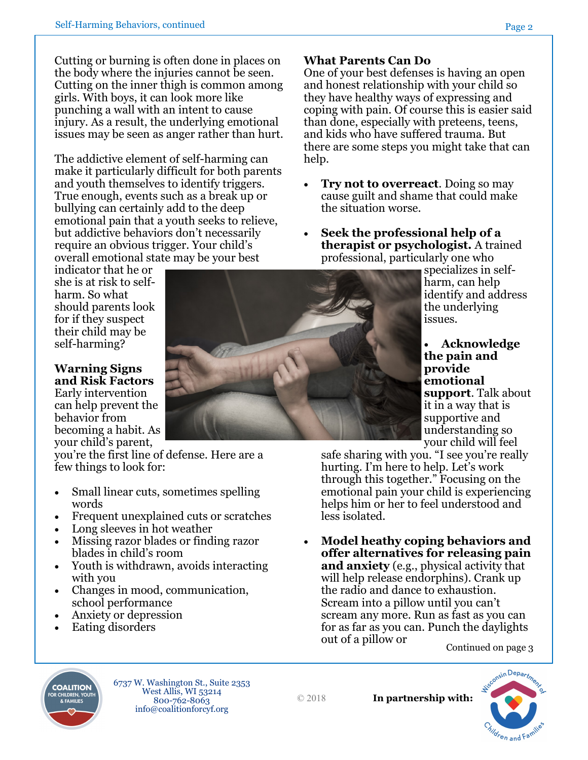Cutting or burning is often done in places on the body where the injuries cannot be seen. Cutting on the inner thigh is common among girls. With boys, it can look more like punching a wall with an intent to cause injury. As a result, the underlying emotional issues may be seen as anger rather than hurt.

The addictive element of self-harming can make it particularly difficult for both parents and youth themselves to identify triggers. True enough, events such as a break up or bullying can certainly add to the deep emotional pain that a youth seeks to relieve, but addictive behaviors don't necessarily require an obvious trigger. Your child's overall emotional state may be your best

indicator that he or she is at risk to selfharm. So what should parents look for if they suspect their child may be self-harming?

#### **Warning Signs and Risk Factors**

Early intervention can help prevent the behavior from becoming a habit. As your child's parent,

you're the first line of defense. Here are a few things to look for:

- Small linear cuts, sometimes spelling words
- Frequent unexplained cuts or scratches
- Long sleeves in hot weather
- Missing razor blades or finding razor blades in child's room
- Youth is withdrawn, avoids interacting with you

6737 W. Washington St., Suite 2353 West Allis, WI 53214 800-762-8063 info@coalitionforcyf.org

- Changes in mood, communication, school performance
- Anxiety or depression
- Eating disorders

**COALITION** 

## **What Parents Can Do**

One of your best defenses is having an open and honest relationship with your child so they have healthy ways of expressing and coping with pain. Of course this is easier said than done, especially with preteens, teens, and kids who have suffered trauma. But there are some steps you might take that can help.

- **Try not to overreact**. Doing so may cause guilt and shame that could make the situation worse.
- **Seek the professional help of a therapist or psychologist.** A trained professional, particularly one who

specializes in selfharm, can help identify and address the underlying issues.

• **Acknowledge the pain and provide emotional support**. Talk about it in a way that is supportive and understanding so your child will feel

safe sharing with you. "I see you're really hurting. I'm here to help. Let's work through this together." Focusing on the emotional pain your child is experiencing helps him or her to feel understood and less isolated.

• **Model heathy coping behaviors and offer alternatives for releasing pain and anxiety** (e.g., physical activity that will help release endorphins). Crank up the radio and dance to exhaustion. Scream into a pillow until you can't scream any more. Run as fast as you can for as far as you can. Punch the daylights out of a pillow or Continued on page 3





© 2018